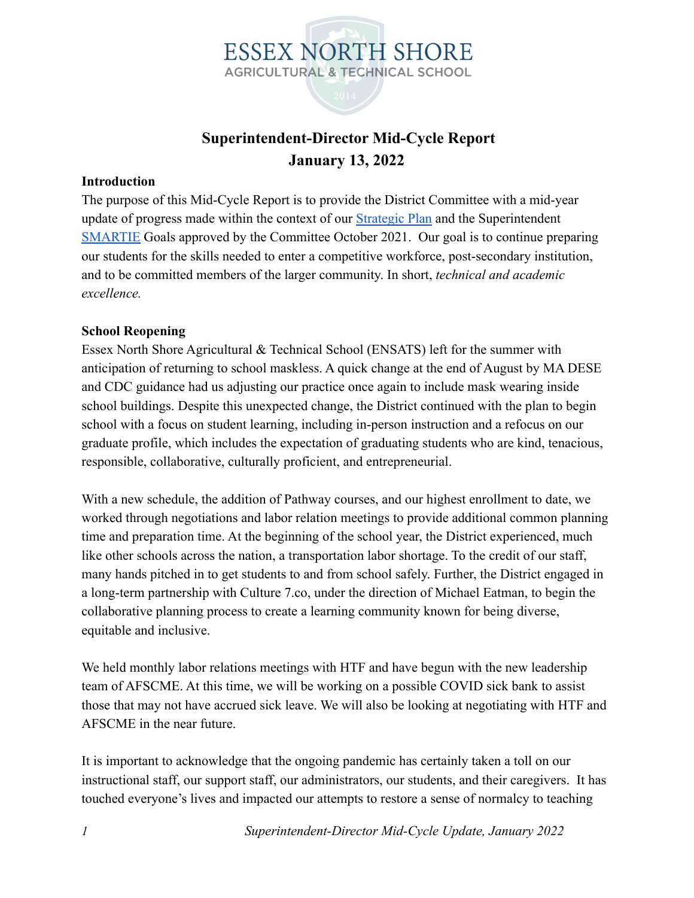

#### **Superintendent-Director Mid-Cycle Report January 13, 2022**

#### **Introduction**

The purpose of this Mid-Cycle Report is to provide the District Committee with a mid-year update of progress made within the context of our [Strategic Plan](https://docs.google.com/document/d/1McN2Fh2-y1KBVqHSGDVt_1WXzJ7gQJ9Ivy75DiU55Kc/edit?usp=sharing) and the Superintendent [SMARTIE](https://docs.google.com/document/d/12yUKjHS1Cg0tmO0IOrMmsTQAqV5HgNBwEjEmDSSw3KE/edit?usp=sharing) Goals approved by the Committee October 2021. Our goal is to continue preparing our students for the skills needed to enter a competitive workforce, post-secondary institution, and to be committed members of the larger community. In short, *technical and academic excellence.*

#### **School Reopening**

Essex North Shore Agricultural & Technical School (ENSATS) left for the summer with anticipation of returning to school maskless. A quick change at the end of August by MA DESE and CDC guidance had us adjusting our practice once again to include mask wearing inside school buildings. Despite this unexpected change, the District continued with the plan to begin school with a focus on student learning, including in-person instruction and a refocus on our graduate profile, which includes the expectation of graduating students who are kind, tenacious, responsible, collaborative, culturally proficient, and entrepreneurial.

With a new schedule, the addition of Pathway courses, and our highest enrollment to date, we worked through negotiations and labor relation meetings to provide additional common planning time and preparation time. At the beginning of the school year, the District experienced, much like other schools across the nation, a transportation labor shortage. To the credit of our staff, many hands pitched in to get students to and from school safely. Further, the District engaged in a long-term partnership with Culture 7.co, under the direction of Michael Eatman, to begin the collaborative planning process to create a learning community known for being diverse, equitable and inclusive.

We held monthly labor relations meetings with HTF and have begun with the new leadership team of AFSCME. At this time, we will be working on a possible COVID sick bank to assist those that may not have accrued sick leave. We will also be looking at negotiating with HTF and AFSCME in the near future.

It is important to acknowledge that the ongoing pandemic has certainly taken a toll on our instructional staff, our support staff, our administrators, our students, and their caregivers. It has touched everyone's lives and impacted our attempts to restore a sense of normalcy to teaching

*1 Superintendent-Director Mid-Cycle Update, January 2022*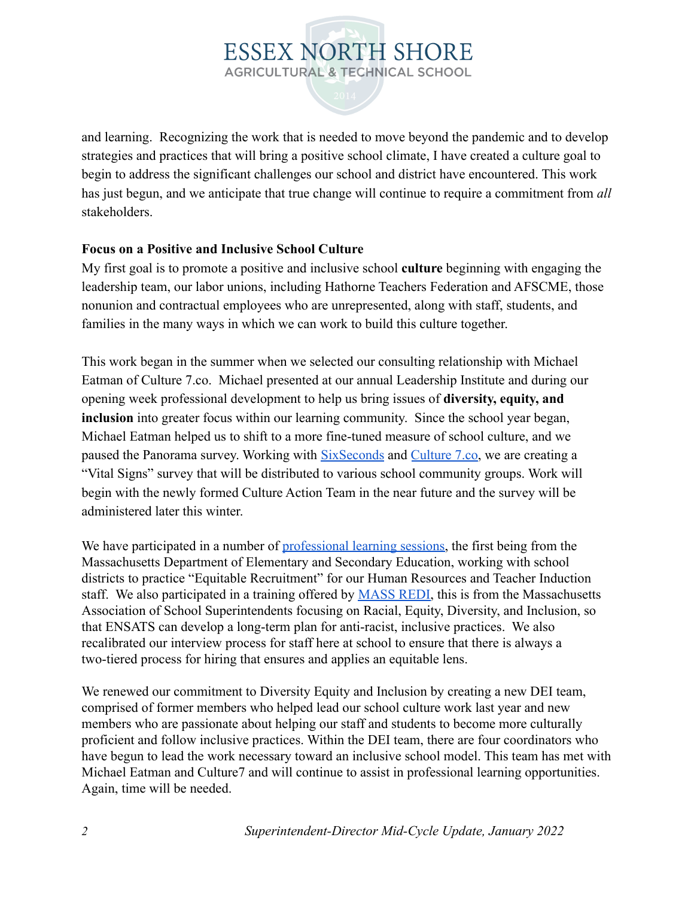and learning. Recognizing the work that is needed to move beyond the pandemic and to develop strategies and practices that will bring a positive school climate, I have created a culture goal to begin to address the significant challenges our school and district have encountered. This work has just begun, and we anticipate that true change will continue to require a commitment from *all* stakeholders.

#### **Focus on a Positive and Inclusive School Culture**

My first goal is to promote a positive and inclusive school **culture** beginning with engaging the leadership team, our labor unions, including Hathorne Teachers Federation and AFSCME, those nonunion and contractual employees who are unrepresented, along with staff, students, and families in the many ways in which we can work to build this culture together.

This work began in the summer when we selected our consulting relationship with Michael Eatman of Culture 7.co. Michael presented at our annual Leadership Institute and during our opening week professional development to help us bring issues of **diversity, equity, and inclusion** into greater focus within our learning community. Since the school year began, Michael Eatman helped us to shift to a more fine-tuned measure of school culture, and we paused the Panorama survey. Working with [SixSeconds](https://www.6seconds.org/) and [Culture 7.co,](http://culture7.co/) we are creating a "Vital Signs" survey that will be distributed to various school community groups. Work will begin with the newly formed Culture Action Team in the near future and the survey will be administered later this winter.

We have participated in a number of [professional learning](https://docs.google.com/document/d/1U-vNWOoEz3U7ruIEtTYfyCE8g8HUBVig1in-tLm9-7Q/edit?usp=sharing) sessions, the first being from the Massachusetts Department of Elementary and Secondary Education, working with school districts to practice "Equitable Recruitment" for our Human Resources and Teacher Induction staff. We also participated in a training offered by [MASS REDI,](https://www.massupt.org/redi/) this is from the Massachusetts Association of School Superintendents focusing on Racial, Equity, Diversity, and Inclusion, so that ENSATS can develop a long-term plan for anti-racist, inclusive practices. We also recalibrated our interview process for staff here at school to ensure that there is always a two-tiered process for hiring that ensures and applies an equitable lens.

We renewed our commitment to Diversity Equity and Inclusion by creating a new DEI team, comprised of former members who helped lead our school culture work last year and new members who are passionate about helping our staff and students to become more culturally proficient and follow inclusive practices. Within the DEI team, there are four coordinators who have begun to lead the work necessary toward an inclusive school model. This team has met with Michael Eatman and Culture7 and will continue to assist in professional learning opportunities. Again, time will be needed.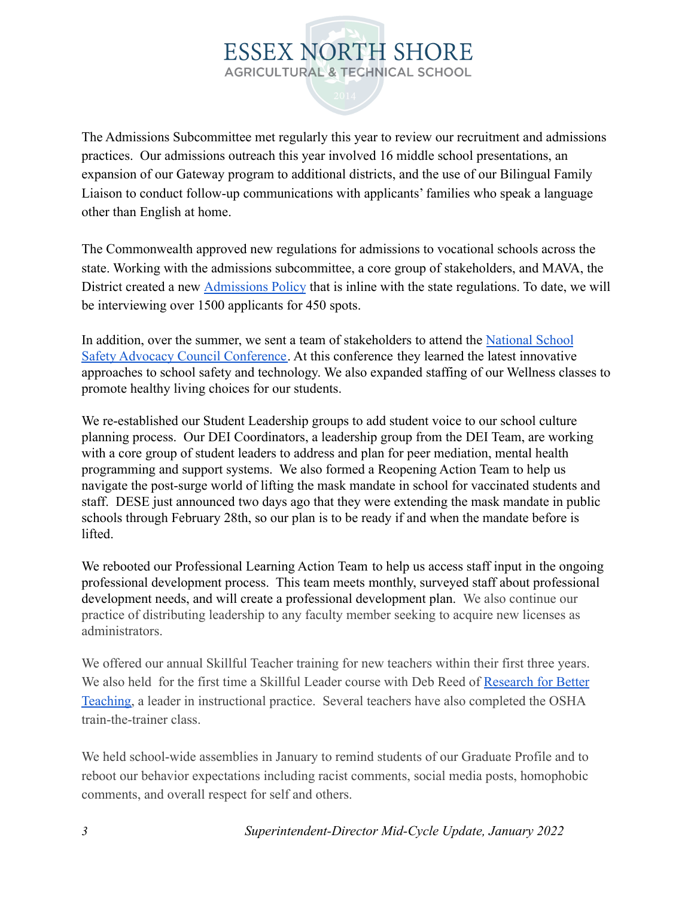The Admissions Subcommittee met regularly this year to review our recruitment and admissions practices. Our admissions outreach this year involved 16 middle school presentations, an expansion of our Gateway program to additional districts, and the use of our Bilingual Family Liaison to conduct follow-up communications with applicants' families who speak a language other than English at home.

The Commonwealth approved new regulations for admissions to vocational schools across the state. Working with the admissions subcommittee, a core group of stakeholders, and MAVA, the District created a new [Admissions Policy](https://essexnorthshore.org/admissions/policy/) that is inline with the state regulations. To date, we will be interviewing over 1500 applicants for 450 spots.

In addition, over the summer, we sent a team of stakeholders to attend the [National School](https://schoolsafety911.org/) [Safety Advocacy Council Conference.](https://schoolsafety911.org/) At this conference they learned the latest innovative approaches to school safety and technology. We also expanded staffing of our Wellness classes to promote healthy living choices for our students.

We re-established our Student Leadership groups to add student voice to our school culture planning process. Our DEI Coordinators, a leadership group from the DEI Team, are working with a core group of student leaders to address and plan for peer mediation, mental health programming and support systems. We also formed a Reopening Action Team to help us navigate the post-surge world of lifting the mask mandate in school for vaccinated students and staff. DESE just announced two days ago that they were extending the mask mandate in public schools through February 28th, so our plan is to be ready if and when the mandate before is lifted.

We rebooted our Professional Learning Action Team to help us access staff input in the ongoing professional development process. This team meets monthly, surveyed staff about professional development needs, and will create a professional development plan. We also continue our practice of distributing leadership to any faculty member seeking to acquire new licenses as administrators.

We offered our annual Skillful Teacher training for new teachers within their first three years. We also held for the first time a Skillful Leader course with Deb Reed of [Research for Better](https://www.rbteach.com/) [Teaching,](https://www.rbteach.com/) a leader in instructional practice. Several teachers have also completed the OSHA train-the-trainer class.

We held school-wide assemblies in January to remind students of our Graduate Profile and to reboot our behavior expectations including racist comments, social media posts, homophobic comments, and overall respect for self and others.

*3 Superintendent-Director Mid-Cycle Update, January 2022*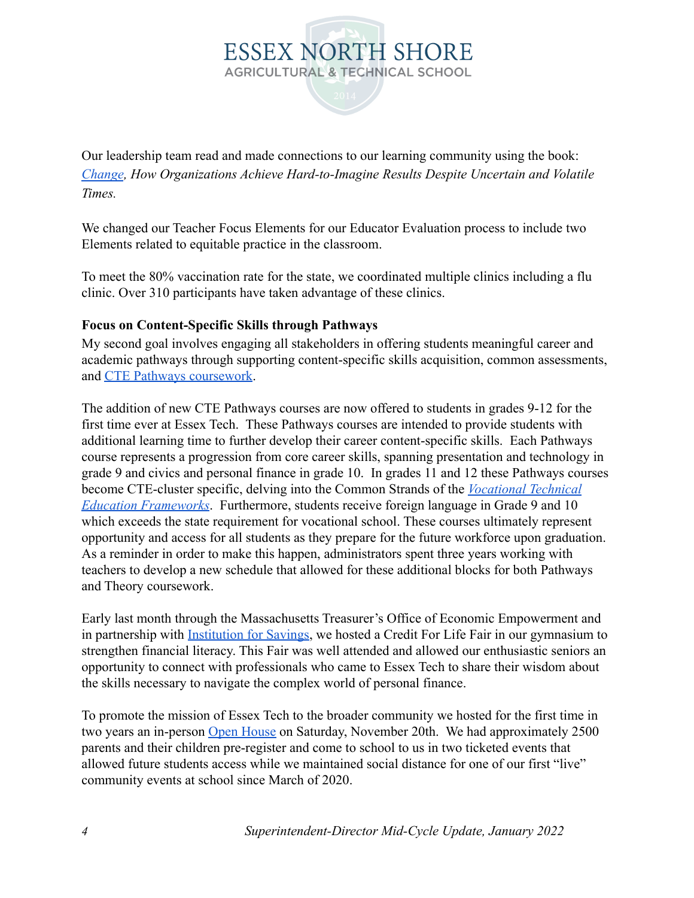

Our leadership team read and made connections to our learning community using the book: *[Change](https://www.kotterinc.com/book/change/), How Organizations Achieve Hard-to-Imagine Results Despite Uncertain and Volatile Times.*

We changed our Teacher Focus Elements for our Educator Evaluation process to include two Elements related to equitable practice in the classroom.

To meet the 80% vaccination rate for the state, we coordinated multiple clinics including a flu clinic. Over 310 participants have taken advantage of these clinics.

#### **Focus on Content-Specific Skills through Pathways**

My second goal involves engaging all stakeholders in offering students meaningful career and academic pathways through supporting content-specific skills acquisition, common assessments, and [CTE Pathways coursework.](https://docs.google.com/document/d/1rb7SRPmmIZwgcBfLBsrG5VL_CeRW3uF5bP06fnbAhcA/edit)

The addition of new CTE Pathways courses are now offered to students in grades 9-12 for the first time ever at Essex Tech. These Pathways courses are intended to provide students with additional learning time to further develop their career content-specific skills. Each Pathways course represents a progression from core career skills, spanning presentation and technology in grade 9 and civics and personal finance in grade 10. In grades 11 and 12 these Pathways courses become CTE-cluster specific, delving into the Common Strands of the *[Vocational Technical](https://www.doe.mass.edu/ccte/cvte/frameworks/default.html) [Education Frameworks](https://www.doe.mass.edu/ccte/cvte/frameworks/default.html)*. Furthermore, students receive foreign language in Grade 9 and 10 which exceeds the state requirement for vocational school. These courses ultimately represent opportunity and access for all students as they prepare for the future workforce upon graduation. As a reminder in order to make this happen, administrators spent three years working with teachers to develop a new schedule that allowed for these additional blocks for both Pathways and Theory coursework.

Early last month through the Massachusetts Treasurer's Office of Economic Empowerment and in partnership with [Institution for Savings,](https://www.institutionforsavings.com/) we hosted a Credit For Life Fair in our gymnasium to strengthen financial literacy. This Fair was well attended and allowed our enthusiastic seniors an opportunity to connect with professionals who came to Essex Tech to share their wisdom about the skills necessary to navigate the complex world of personal finance.

To promote the mission of Essex Tech to the broader community we hosted for the first time in two years an in-person [Open House](https://drive.google.com/file/d/1qgYSW6kHij8D0xvD8sYqdyNoxkClmzFo/view?usp=sharing) on Saturday, November 20th. We had approximately 2500 parents and their children pre-register and come to school to us in two ticketed events that allowed future students access while we maintained social distance for one of our first "live" community events at school since March of 2020.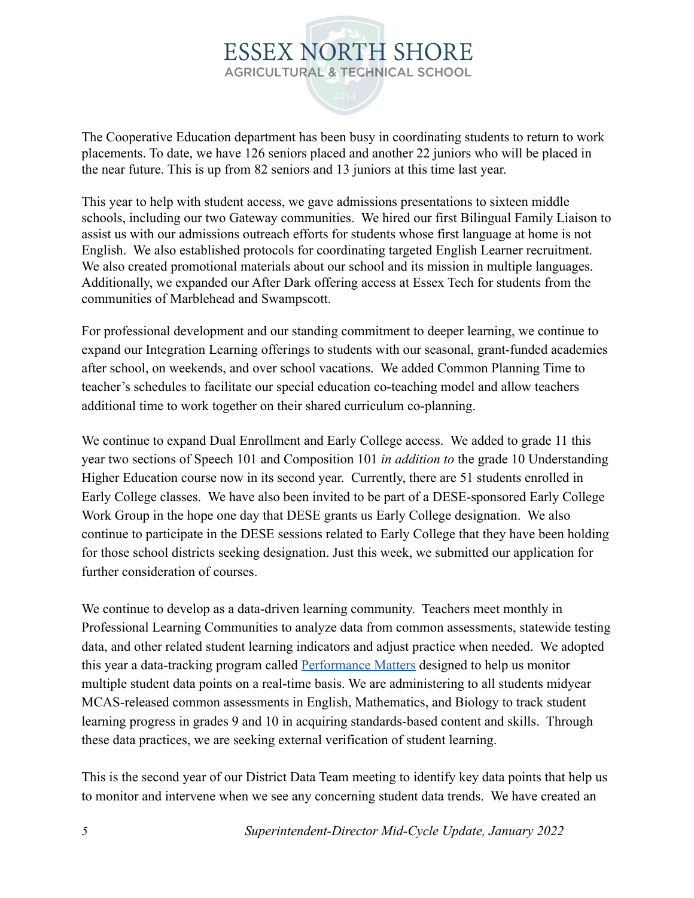The Cooperative Education department has been busy in coordinating students to return to work placements. To date, we have 126 seniors placed and another 22 juniors who will be placed in the near future. This is up from 82 seniors and 13 juniors at this time last year.

This year to help with student access, we gave admissions presentations to sixteen middle schools, including our two Gateway communities. We hired our first Bilingual Family Liaison to assist us with our admissions outreach efforts for students whose first language at home is not English. We also established protocols for coordinating targeted English Learner recruitment. We also created promotional materials about our school and its mission in multiple languages. Additionally, we expanded our After Dark offering access at Essex Tech for students from the communities of Marblehead and Swampscott.

For professional development and our standing commitment to deeper learning, we continue to expand our Integration Learning offerings to students with our seasonal, grant-funded academies after school, on weekends, and over school vacations. We added Common Planning Time to teacher's schedules to facilitate our special education co-teaching model and allow teachers additional time to work together on their shared curriculum co-planning.

We continue to expand Dual Enrollment and Early College access. We added to grade 11 this year two sections of Speech 101 and Composition 101 *in addition to* the grade 10 Understanding Higher Education course now in its second year. Currently, there are 51 students enrolled in Early College classes. We have also been invited to be part of a DESE-sponsored Early College Work Group in the hope one day that DESE grants us Early College designation. We also continue to participate in the DESE sessions related to Early College that they have been holding for those school districts seeking designation. Just this week, we submitted our application for further consideration of courses.

We continue to develop as a data-driven learning community. Teachers meet monthly in Professional Learning Communities to analyze data from common assessments, statewide testing data, and other related student learning indicators and adjust practice when needed. We adopted this year a data-tracking program called [Performance](https://www.powerschool.com/solutions/performance-matters/) Matters designed to help us monitor multiple student data points on a real-time basis. We are administering to all students midyear MCAS-released common assessments in English, Mathematics, and Biology to track student learning progress in grades 9 and 10 in acquiring standards-based content and skills. Through these data practices, we are seeking external verification of student learning.

This is the second year of our District Data Team meeting to identify key data points that help us to monitor and intervene when we see any concerning student data trends. We have created an

*5 Superintendent-Director Mid-Cycle Update, January 2022*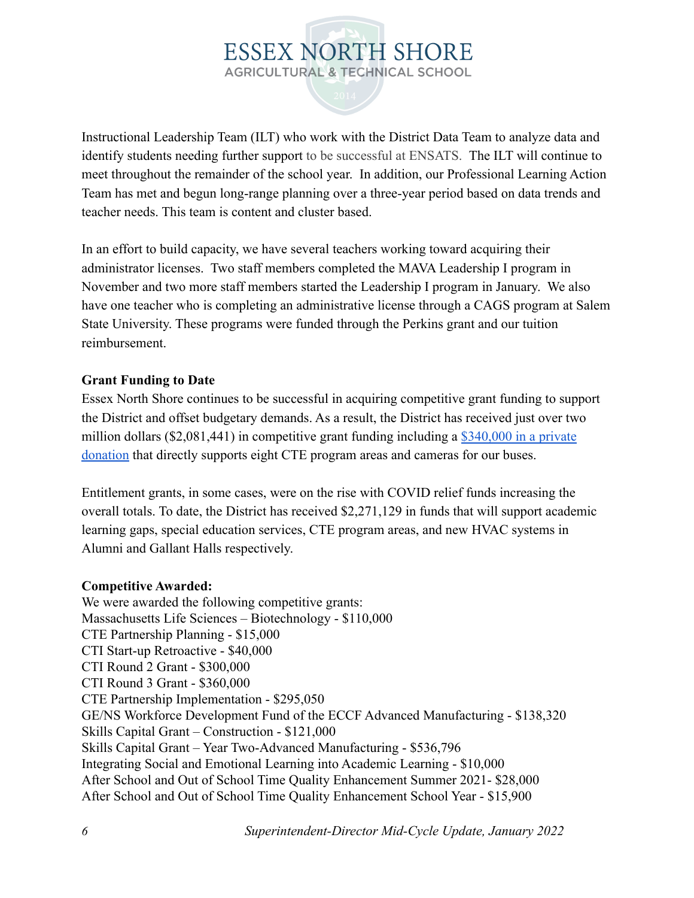Instructional Leadership Team (ILT) who work with the District Data Team to analyze data and identify students needing further support to be successful at ENSATS. The ILT will continue to meet throughout the remainder of the school year. In addition, our Professional Learning Action Team has met and begun long-range planning over a three-year period based on data trends and teacher needs. This team is content and cluster based.

In an effort to build capacity, we have several teachers working toward acquiring their administrator licenses. Two staff members completed the MAVA Leadership I program in November and two more staff members started the Leadership I program in January. We also have one teacher who is completing an administrative license through a CAGS program at Salem State University. These programs were funded through the Perkins grant and our tuition reimbursement.

#### **Grant Funding to Date**

Essex North Shore continues to be successful in acquiring competitive grant funding to support the District and offset budgetary demands. As a result, the District has received just over two million dollars (\$2,081,441) in competitive grant funding including a [\\$340,000 in a private](https://docs.google.com/document/d/1zrMXMHQte7dxzHqlo_wJW_dl5mz4pfEkXxI40l7Fa5I/edit?usp=sharing) [donation](https://docs.google.com/document/d/1zrMXMHQte7dxzHqlo_wJW_dl5mz4pfEkXxI40l7Fa5I/edit?usp=sharing) that directly supports eight CTE program areas and cameras for our buses.

Entitlement grants, in some cases, were on the rise with COVID relief funds increasing the overall totals. To date, the District has received \$2,271,129 in funds that will support academic learning gaps, special education services, CTE program areas, and new HVAC systems in Alumni and Gallant Halls respectively.

#### **Competitive Awarded:**

We were awarded the following competitive grants: Massachusetts Life Sciences – Biotechnology - \$110,000 CTE Partnership Planning - \$15,000 CTI Start-up Retroactive - \$40,000 CTI Round 2 Grant - \$300,000 CTI Round 3 Grant - \$360,000 CTE Partnership Implementation - \$295,050 GE/NS Workforce Development Fund of the ECCF Advanced Manufacturing - \$138,320 Skills Capital Grant – Construction - \$121,000 Skills Capital Grant – Year Two-Advanced Manufacturing - \$536,796 Integrating Social and Emotional Learning into Academic Learning - \$10,000 After School and Out of School Time Quality Enhancement Summer 2021- \$28,000 After School and Out of School Time Quality Enhancement School Year - \$15,900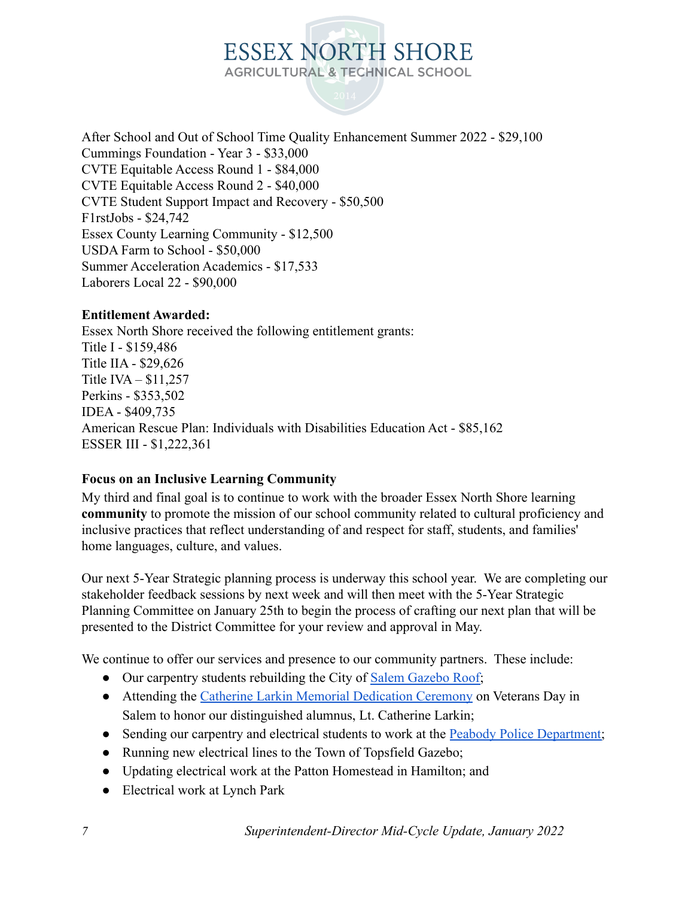After School and Out of School Time Quality Enhancement Summer 2022 - \$29,100 Cummings Foundation - Year 3 - \$33,000 CVTE Equitable Access Round 1 - \$84,000 CVTE Equitable Access Round 2 - \$40,000 CVTE Student Support Impact and Recovery - \$50,500 F1rstJobs - \$24,742 Essex County Learning Community - \$12,500 USDA Farm to School - \$50,000 Summer Acceleration Academics - \$17,533 Laborers Local 22 - \$90,000

#### **Entitlement Awarded:**

Essex North Shore received the following entitlement grants: Title I - \$159,486 Title IIA - \$29,626 Title IVA – \$11,257 Perkins - \$353,502 IDEA - \$409,735 American Rescue Plan: Individuals with Disabilities Education Act - \$85,162 ESSER III - \$1,222,361

#### **Focus on an Inclusive Learning Community**

My third and final goal is to continue to work with the broader Essex North Shore learning **community** to promote the mission of our school community related to cultural proficiency and inclusive practices that reflect understanding of and respect for staff, students, and families' home languages, culture, and values.

Our next 5-Year Strategic planning process is underway this school year. We are completing our stakeholder feedback sessions by next week and will then meet with the 5-Year Strategic Planning Committee on January 25th to begin the process of crafting our next plan that will be presented to the District Committee for your review and approval in May.

We continue to offer our services and presence to our community partners. These include:

- Our carpentry students rebuilding the City of Salem [Gazebo Roof;](https://www.salemnews.com/news/gazebo-a-labor-of-love-for-carpentry-students/article_5b232a18-53ad-11ec-9756-efb061542298.html)
- Attending the [Catherine Larkin Memorial Dedication](https://www.salemnews.com/gallery/slideshow-salem-veterans-council-hosts-a-veterans-day-service-dedicate-new-monument-to-u-s/collection_bd6c1d5c-4326-11ec-a7ac-bb05bc7399c5.html#20) Ceremony on Veterans Day in Salem to honor our distinguished alumnus, Lt. Catherine Larkin;
- Sending our carpentry and electrical students to work at the **Peabody Police Department**;
- Running new electrical lines to the Town of Topsfield Gazebo;
- Updating electrical work at the Patton Homestead in Hamilton; and
- Electrical work at Lynch Park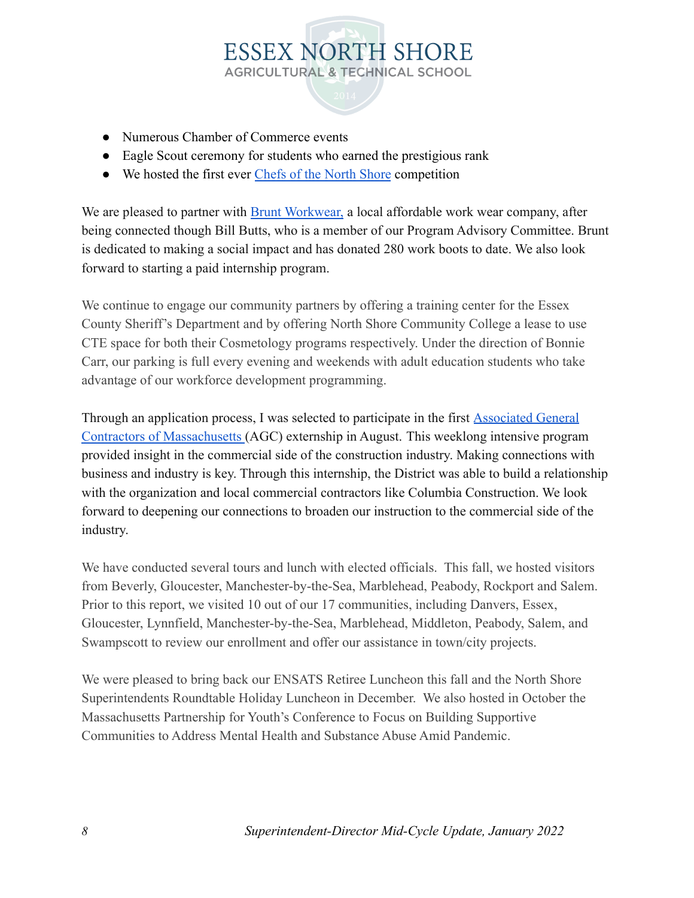- Numerous Chamber of Commerce events
- Eagle Scout ceremony for students who earned the prestigious rank
- We hosted the first ever [Chefs of the North Shore](https://jgpr.net/2021/08/13/media-advisory-rsvp-required-essex-tech-to-host-chefs-of-the-north-shore-pro-chef-competition/) competition

We are pleased to partner with [Brunt Workwear,](https://bruntworkwear.com/) a local affordable work wear company, after being connected though Bill Butts, who is a member of our Program Advisory Committee. Brunt is dedicated to making a social impact and has donated 280 work boots to date. We also look forward to starting a paid internship program.

We continue to engage our community partners by offering a training center for the Essex County Sheriff's Department and by offering North Shore Community College a lease to use CTE space for both their Cosmetology programs respectively. Under the direction of Bonnie Carr, our parking is full every evening and weekends with adult education students who take advantage of our workforce development programming.

Through an application process, I was selected to participate in the first [Associated General](https://www.agcmass.org/) [Contractors of Massachusetts](https://www.agcmass.org/) (AGC) externship in August. This weeklong intensive program provided insight in the commercial side of the construction industry. Making connections with business and industry is key. Through this internship, the District was able to build a relationship with the organization and local commercial contractors like Columbia Construction. We look forward to deepening our connections to broaden our instruction to the commercial side of the industry.

We have conducted several tours and lunch with elected officials. This fall, we hosted visitors from Beverly, Gloucester, Manchester-by-the-Sea, Marblehead, Peabody, Rockport and Salem. Prior to this report, we visited 10 out of our 17 communities, including Danvers, Essex, Gloucester, Lynnfield, Manchester-by-the-Sea, Marblehead, Middleton, Peabody, Salem, and Swampscott to review our enrollment and offer our assistance in town/city projects.

We were pleased to bring back our ENSATS Retiree Luncheon this fall and the North Shore Superintendents Roundtable Holiday Luncheon in December. We also hosted in October the Massachusetts Partnership for Youth's Conference to Focus on Building Supportive Communities to Address Mental Health and Substance Abuse Amid Pandemic.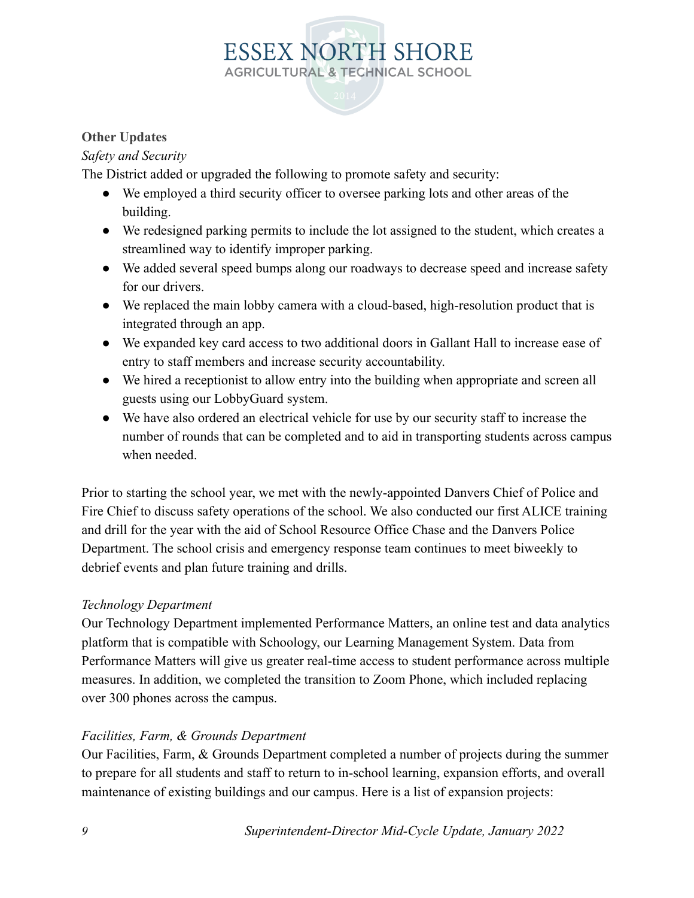#### **Other Updates**

#### *Safety and Security*

The District added or upgraded the following to promote safety and security:

- We employed a third security officer to oversee parking lots and other areas of the building.
- We redesigned parking permits to include the lot assigned to the student, which creates a streamlined way to identify improper parking.
- We added several speed bumps along our roadways to decrease speed and increase safety for our drivers.
- We replaced the main lobby camera with a cloud-based, high-resolution product that is integrated through an app.
- We expanded key card access to two additional doors in Gallant Hall to increase ease of entry to staff members and increase security accountability.
- We hired a receptionist to allow entry into the building when appropriate and screen all guests using our LobbyGuard system.
- We have also ordered an electrical vehicle for use by our security staff to increase the number of rounds that can be completed and to aid in transporting students across campus when needed.

Prior to starting the school year, we met with the newly-appointed Danvers Chief of Police and Fire Chief to discuss safety operations of the school. We also conducted our first ALICE training and drill for the year with the aid of School Resource Office Chase and the Danvers Police Department. The school crisis and emergency response team continues to meet biweekly to debrief events and plan future training and drills.

#### *Technology Department*

Our Technology Department implemented Performance Matters, an online test and data analytics platform that is compatible with Schoology, our Learning Management System. Data from Performance Matters will give us greater real-time access to student performance across multiple measures. In addition, we completed the transition to Zoom Phone, which included replacing over 300 phones across the campus.

#### *Facilities, Farm, & Grounds Department*

Our Facilities, Farm, & Grounds Department completed a number of projects during the summer to prepare for all students and staff to return to in-school learning, expansion efforts, and overall maintenance of existing buildings and our campus. Here is a list of expansion projects: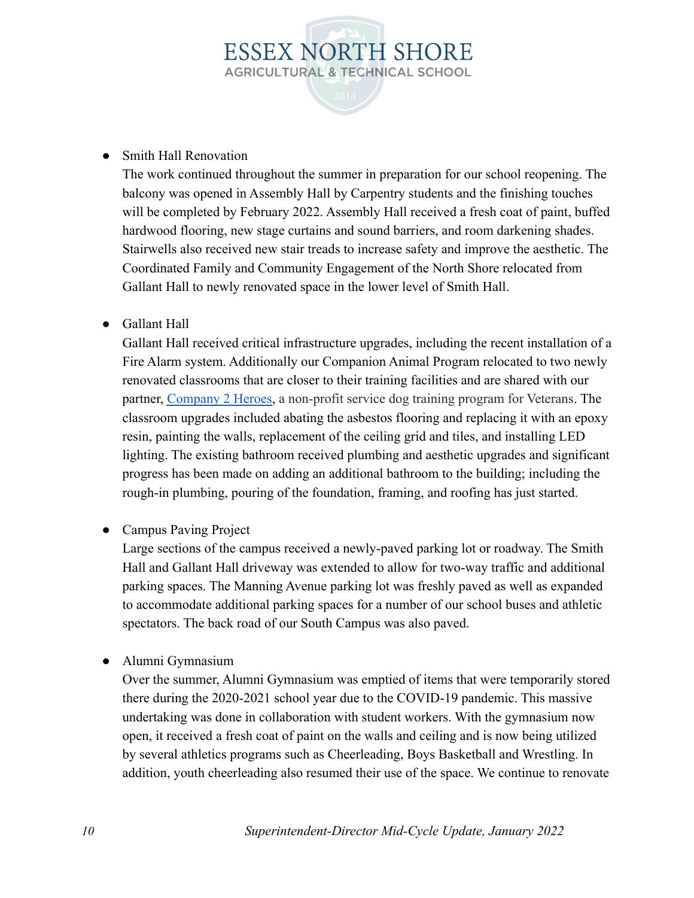#### • Smith Hall Renovation

The work continued throughout the summer in preparation for our school reopening. The balcony was opened in Assembly Hall by Carpentry students and the finishing touches will be completed by February 2022. Assembly Hall received a fresh coat of paint, buffed hardwood flooring, new stage curtains and sound barriers, and room darkening shades. Stairwells also received new stair treads to increase safety and improve the aesthetic. The Coordinated Family and Community Engagement of the North Shore relocated from Gallant Hall to newly renovated space in the lower level of Smith Hall.

#### ● Gallant Hall

Gallant Hall received critical infrastructure upgrades, including the recent installation of a Fire Alarm system. Additionally our Companion Animal Program relocated to two newly renovated classrooms that are closer to their training facilities and are shared with our partner, [Company 2 Heroes](https://company2heroes.org/), a non-profit service dog training program for Veterans. The classroom upgrades included abating the asbestos flooring and replacing it with an epoxy resin, painting the walls, replacement of the ceiling grid and tiles, and installing LED lighting. The existing bathroom received plumbing and aesthetic upgrades and significant progress has been made on adding an additional bathroom to the building; including the rough-in plumbing, pouring of the foundation, framing, and roofing has just started.

• Campus Paving Project

Large sections of the campus received a newly-paved parking lot or roadway. The Smith Hall and Gallant Hall driveway was extended to allow for two-way traffic and additional parking spaces. The Manning Avenue parking lot was freshly paved as well as expanded to accommodate additional parking spaces for a number of our school buses and athletic spectators. The back road of our South Campus was also paved.

● Alumni Gymnasium

Over the summer, Alumni Gymnasium was emptied of items that were temporarily stored there during the 2020-2021 school year due to the COVID-19 pandemic. This massive undertaking was done in collaboration with student workers. With the gymnasium now open, it received a fresh coat of paint on the walls and ceiling and is now being utilized by several athletics programs such as Cheerleading, Boys Basketball and Wrestling. In addition, youth cheerleading also resumed their use of the space. We continue to renovate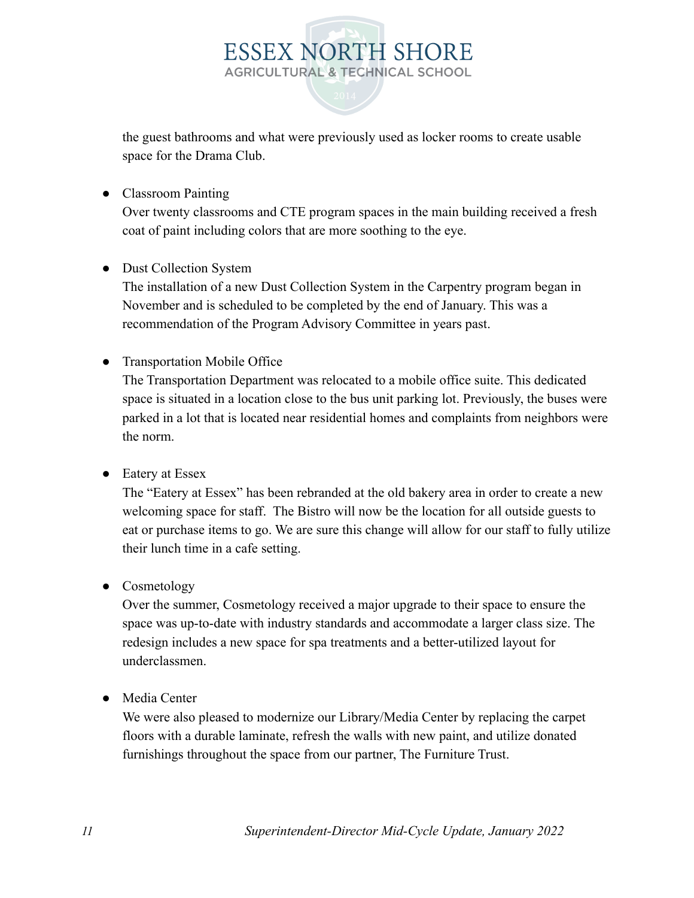the guest bathrooms and what were previously used as locker rooms to create usable space for the Drama Club.

**ESSEX NORTH SHORE AGRICULTURAL & TECHNICAL SCHOOL** 

● Classroom Painting

Over twenty classrooms and CTE program spaces in the main building received a fresh coat of paint including colors that are more soothing to the eye.

• Dust Collection System

The installation of a new Dust Collection System in the Carpentry program began in November and is scheduled to be completed by the end of January. This was a recommendation of the Program Advisory Committee in years past.

● Transportation Mobile Office

The Transportation Department was relocated to a mobile office suite. This dedicated space is situated in a location close to the bus unit parking lot. Previously, the buses were parked in a lot that is located near residential homes and complaints from neighbors were the norm.

● Eatery at Essex

The "Eatery at Essex" has been rebranded at the old bakery area in order to create a new welcoming space for staff. The Bistro will now be the location for all outside guests to eat or purchase items to go. We are sure this change will allow for our staff to fully utilize their lunch time in a cafe setting.

• Cosmetology

Over the summer, Cosmetology received a major upgrade to their space to ensure the space was up-to-date with industry standards and accommodate a larger class size. The redesign includes a new space for spa treatments and a better-utilized layout for underclassmen.

● Media Center

We were also pleased to modernize our Library/Media Center by replacing the carpet floors with a durable laminate, refresh the walls with new paint, and utilize donated furnishings throughout the space from our partner, The Furniture Trust.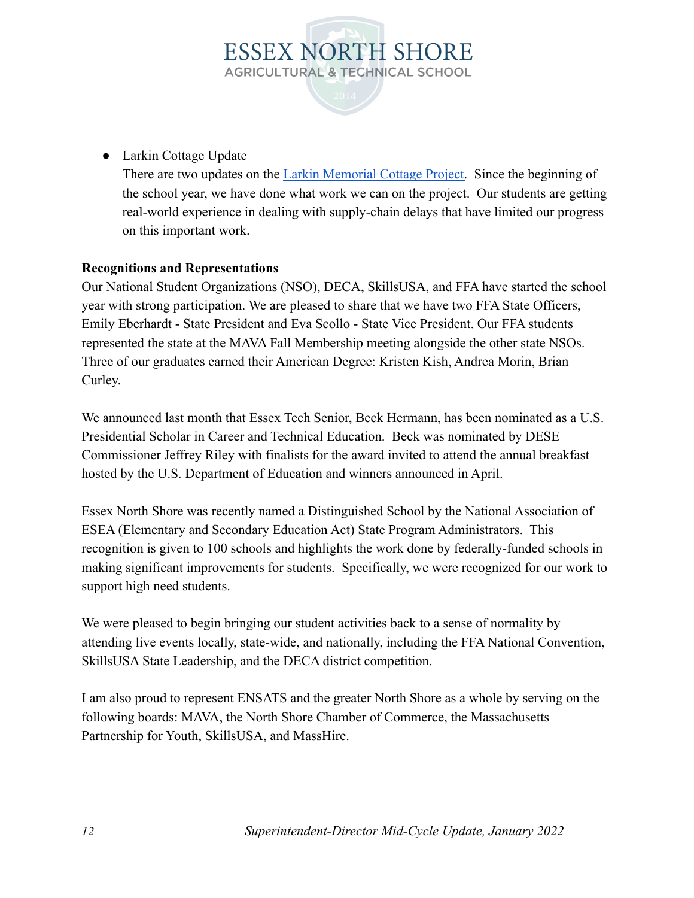

● Larkin Cottage Update

There are two updates on the [Larkin Memorial Cottage](https://docs.google.com/document/d/1Ea5a4f0_Mr7aHpcmIw0ZWOPpPWNwhJCC2m8gghRdjis/edit?usp=sharing) Project. Since the beginning of the school year, we have done what work we can on the project. Our students are getting real-world experience in dealing with supply-chain delays that have limited our progress on this important work.

#### **Recognitions and Representations**

Our National Student Organizations (NSO), DECA, SkillsUSA, and FFA have started the school year with strong participation. We are pleased to share that we have two FFA State Officers, Emily Eberhardt - State President and Eva Scollo - State Vice President. Our FFA students represented the state at the MAVA Fall Membership meeting alongside the other state NSOs. Three of our graduates earned their American Degree: Kristen Kish, Andrea Morin, Brian Curley.

We announced last month that Essex Tech Senior, Beck Hermann, has been nominated as a U.S. Presidential Scholar in Career and Technical Education. Beck was nominated by DESE Commissioner Jeffrey Riley with finalists for the award invited to attend the annual breakfast hosted by the U.S. Department of Education and winners announced in April.

Essex North Shore was recently named a Distinguished School by the National Association of ESEA (Elementary and Secondary Education Act) State Program Administrators. This recognition is given to 100 schools and highlights the work done by federally-funded schools in making significant improvements for students. Specifically, we were recognized for our work to support high need students.

We were pleased to begin bringing our student activities back to a sense of normality by attending live events locally, state-wide, and nationally, including the FFA National Convention, SkillsUSA State Leadership, and the DECA district competition.

I am also proud to represent ENSATS and the greater North Shore as a whole by serving on the following boards: MAVA, the North Shore Chamber of Commerce, the Massachusetts Partnership for Youth, SkillsUSA, and MassHire.